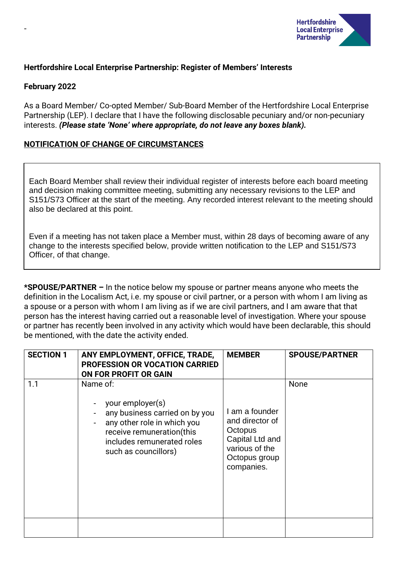

# **Hertfordshire Local Enterprise Partnership: Register of Members' Interests**

## **February 2022**

-

As a Board Member/ Co-opted Member/ Sub-Board Member of the Hertfordshire Local Enterprise Partnership (LEP). I declare that I have the following disclosable pecuniary and/or non-pecuniary interests. *(Please state 'None' where appropriate, do not leave any boxes blank).*

## **NOTIFICATION OF CHANGE OF CIRCUMSTANCES**

Each Board Member shall review their individual register of interests before each board meeting and decision making committee meeting, submitting any necessary revisions to the LEP and S151/S73 Officer at the start of the meeting. Any recorded interest relevant to the meeting should also be declared at this point.

Even if a meeting has not taken place a Member must, within 28 days of becoming aware of any change to the interests specified below, provide written notification to the LEP and S151/S73 Officer, of that change.

**\*SPOUSE/PARTNER –** In the notice below my spouse or partner means anyone who meets the definition in the Localism Act, i.e. my spouse or civil partner, or a person with whom I am living as a spouse or a person with whom I am living as if we are civil partners, and I am aware that that person has the interest having carried out a reasonable level of investigation. Where your spouse or partner has recently been involved in any activity which would have been declarable, this should be mentioned, with the date the activity ended.

| <b>SECTION 1</b> | ANY EMPLOYMENT, OFFICE, TRADE,<br><b>PROFESSION OR VOCATION CARRIED</b><br>ON FOR PROFIT OR GAIN                                                                                 | <b>MEMBER</b>                                                                                                    | <b>SPOUSE/PARTNER</b> |
|------------------|----------------------------------------------------------------------------------------------------------------------------------------------------------------------------------|------------------------------------------------------------------------------------------------------------------|-----------------------|
| 1.1              | Name of:<br>your employer(s)<br>any business carried on by you<br>any other role in which you<br>receive remuneration(this<br>includes remunerated roles<br>such as councillors) | I am a founder<br>and director of<br>Octopus<br>Capital Ltd and<br>various of the<br>Octopus group<br>companies. | None                  |
|                  |                                                                                                                                                                                  |                                                                                                                  |                       |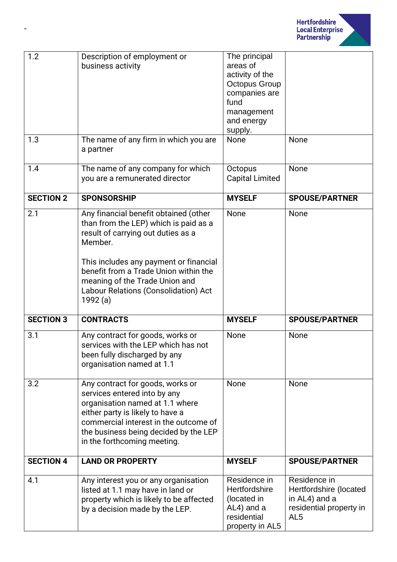

| 1.2<br>1.3       | Description of employment or<br>business activity<br>The name of any firm in which you are<br>a partner                                                                                                                                                                                                  | The principal<br>areas of<br>activity of the<br><b>Octopus Group</b><br>companies are<br>fund<br>management<br>and energy<br>supply.<br>None | None                                                                                                  |
|------------------|----------------------------------------------------------------------------------------------------------------------------------------------------------------------------------------------------------------------------------------------------------------------------------------------------------|----------------------------------------------------------------------------------------------------------------------------------------------|-------------------------------------------------------------------------------------------------------|
| 1.4              | The name of any company for which<br>you are a remunerated director                                                                                                                                                                                                                                      | Octopus<br><b>Capital Limited</b>                                                                                                            | None                                                                                                  |
| <b>SECTION 2</b> | <b>SPONSORSHIP</b>                                                                                                                                                                                                                                                                                       | <b>MYSELF</b>                                                                                                                                | <b>SPOUSE/PARTNER</b>                                                                                 |
| 2.1              | Any financial benefit obtained (other<br>than from the LEP) which is paid as a<br>result of carrying out duties as a<br>Member.<br>This includes any payment or financial<br>benefit from a Trade Union within the<br>meaning of the Trade Union and<br>Labour Relations (Consolidation) Act<br>1992 (a) | None                                                                                                                                         | None                                                                                                  |
| <b>SECTION 3</b> | <b>CONTRACTS</b>                                                                                                                                                                                                                                                                                         | <b>MYSELF</b>                                                                                                                                | <b>SPOUSE/PARTNER</b>                                                                                 |
| 3.1              | Any contract for goods, works or<br>services with the LEP which has not<br>been fully discharged by any<br>organisation named at 1.1                                                                                                                                                                     | None                                                                                                                                         | None                                                                                                  |
| 3.2              | Any contract for goods, works or<br>services entered into by any<br>organisation named at 1.1 where<br>either party is likely to have a<br>commercial interest in the outcome of<br>the business being decided by the LEP<br>in the forthcoming meeting.                                                 | None                                                                                                                                         | None                                                                                                  |
| <b>SECTION 4</b> | <b>LAND OR PROPERTY</b>                                                                                                                                                                                                                                                                                  | <b>MYSELF</b>                                                                                                                                | <b>SPOUSE/PARTNER</b>                                                                                 |
| 4.1              | Any interest you or any organisation<br>listed at 1.1 may have in land or<br>property which is likely to be affected<br>by a decision made by the LEP.                                                                                                                                                   | Residence in<br>Hertfordshire<br>(located in<br>AL4) and a<br>residential<br>property in AL5                                                 | Residence in<br>Hertfordshire (located<br>in AL4) and a<br>residential property in<br>AL <sub>5</sub> |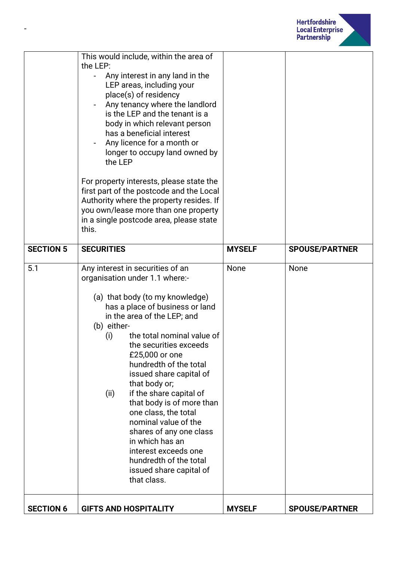

|                  | Any interest in any land in the<br>LEP areas, including your<br>place(s) of residency                                                                                                                                                                                                                                                                                                                                                                                                                                                                                                                   |               |                       |
|------------------|---------------------------------------------------------------------------------------------------------------------------------------------------------------------------------------------------------------------------------------------------------------------------------------------------------------------------------------------------------------------------------------------------------------------------------------------------------------------------------------------------------------------------------------------------------------------------------------------------------|---------------|-----------------------|
|                  | Any tenancy where the landlord<br>is the LEP and the tenant is a<br>body in which relevant person<br>has a beneficial interest<br>Any licence for a month or<br>longer to occupy land owned by<br>the LEP<br>For property interests, please state the<br>first part of the postcode and the Local<br>Authority where the property resides. If<br>you own/lease more than one property<br>in a single postcode area, please state<br>this.                                                                                                                                                               |               |                       |
| <b>SECTION 5</b> | <b>SECURITIES</b>                                                                                                                                                                                                                                                                                                                                                                                                                                                                                                                                                                                       | <b>MYSELF</b> | <b>SPOUSE/PARTNER</b> |
| 5.1              | Any interest in securities of an<br>organisation under 1.1 where:-<br>(a) that body (to my knowledge)<br>has a place of business or land<br>in the area of the LEP; and<br>(b) either-<br>the total nominal value of<br>(i)<br>the securities exceeds<br>£25,000 or one<br>hundredth of the total<br>issued share capital of<br>that body or;<br>if the share capital of<br>(ii)<br>that body is of more than<br>one class, the total<br>nominal value of the<br>shares of any one class<br>in which has an<br>interest exceeds one<br>hundredth of the total<br>issued share capital of<br>that class. | None          | None                  |
| <b>SECTION 6</b> | <b>GIFTS AND HOSPITALITY</b>                                                                                                                                                                                                                                                                                                                                                                                                                                                                                                                                                                            | <b>MYSELF</b> | <b>SPOUSE/PARTNER</b> |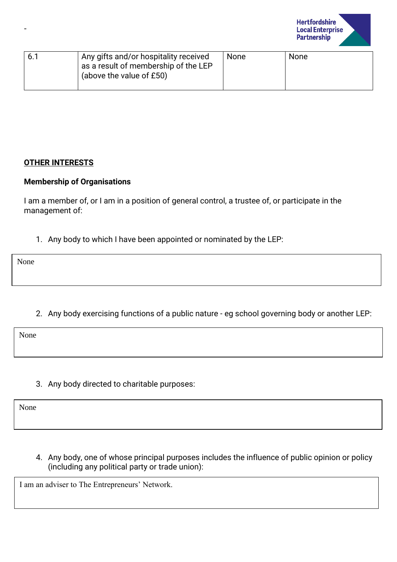

| 6.1 | Any gifts and/or hospitality received<br>as a result of membership of the LEP<br>(above the value of £50) | None | <b>None</b> |
|-----|-----------------------------------------------------------------------------------------------------------|------|-------------|
|     |                                                                                                           |      |             |

## **OTHER INTERESTS**

#### **Membership of Organisations**

I am a member of, or I am in a position of general control, a trustee of, or participate in the management of:

1. Any body to which I have been appointed or nominated by the LEP:

None

-

2. Any body exercising functions of a public nature - eg school governing body or another LEP:

None

3. Any body directed to charitable purposes:

None

4. Any body, one of whose principal purposes includes the influence of public opinion or policy (including any political party or trade union):

I am an adviser to The Entrepreneurs' Network.